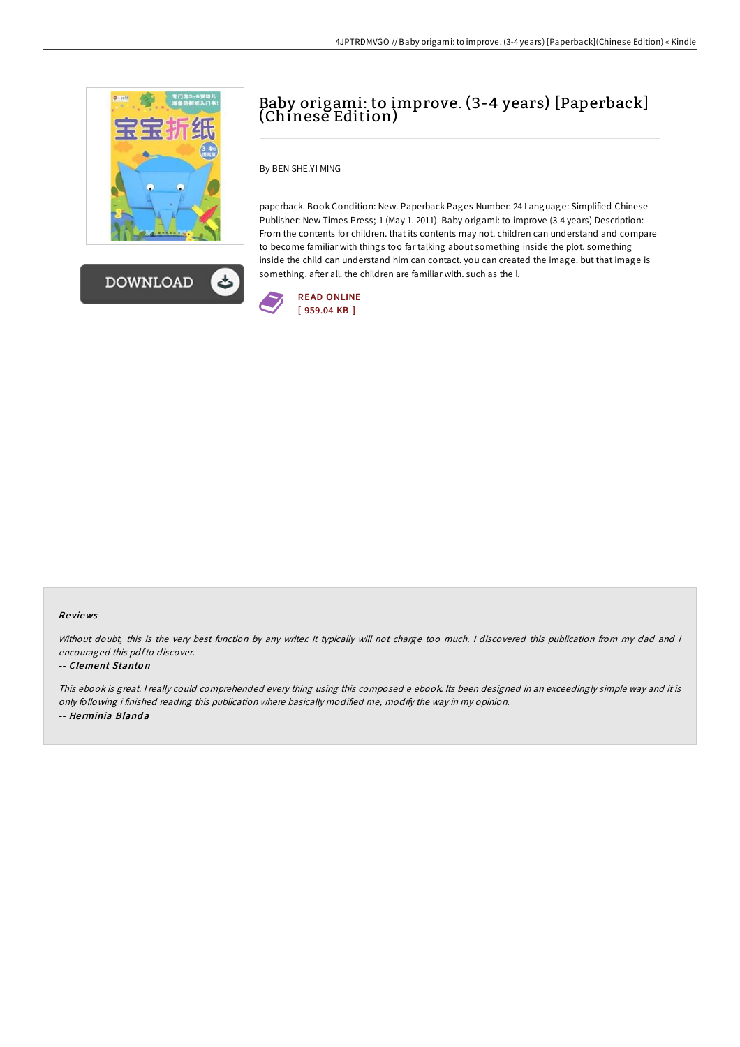



## Baby origami: to improve. (3-4 years) [Paperback] (Chinese Edition)

By BEN SHE.YI MING

paperback. Book Condition: New. Paperback Pages Number: 24 Language: Simplified Chinese Publisher: New Times Press; 1 (May 1. 2011). Baby origami: to improve (3-4 years) Description: From the contents for children. that its contents may not. children can understand and compare to become familiar with things too far talking about something inside the plot. something inside the child can understand him can contact. you can created the image. but that image is something. after all. the children are familiar with. such as the l.



## Re views

Without doubt, this is the very best function by any writer. It typically will not charge too much. I discovered this publication from my dad and i encouraged this pdfto discover.

## -- Clement Stanto <sup>n</sup>

This ebook is great. I really could comprehended every thing using this composed e ebook. Its been designed in an exceedingly simple way and it is only following i finished reading this publication where basically modified me, modify the way in my opinion. -- He rminia Bland a